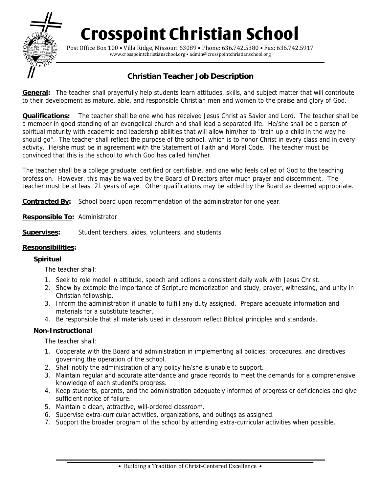# **Crosspoint Christian School**



Post Office Box 100 • Villa Ridge, Missouri 63089 • Phone: 636.742.5380 • Fax: 636.742.5917 www.crosspointchristianschool.org • admin@crosspointchristianschool.org

## **Christian Teacher Job Description**

**General:** The teacher shall prayerfully help students learn attitudes, skills, and subject matter that will contribute to their development as mature, able, and responsible Christian men and women to the praise and glory of God.

**Qualifications:** The teacher shall be one who has received Jesus Christ as Savior and Lord. The teacher shall be a member in good standing of an evangelical church and shall lead a separated life. He/she shall be a person of spiritual maturity with academic and leadership abilities that will allow him/her to "train up a child in the way he should go". The teacher shall reflect the purpose of the school, which is to honor Christ in every class and in every activity. He/she must be in agreement with the Statement of Faith and Moral Code. The teacher must be convinced that this is the school to which God has called him/her.

The teacher shall be a college graduate, certified or certifiable, and one who feels called of God to the teaching profession. However, this may be waived by the Board of Directors after much prayer and discernment. The teacher must be at least 21 years of age. Other qualifications may be added by the Board as deemed appropriate.

**Contracted By:** School board upon recommendation of the administrator for one year.

- **Responsible To:** Administrator
- **Supervises:** Student teachers, aides, volunteers, and students

#### **Responsibilities:**

#### **Spiritual**

The teacher shall:

- 1. Seek to role model in attitude, speech and actions a consistent daily walk with Jesus Christ.
- 2. Show by example the importance of Scripture memorization and study, prayer, witnessing, and unity in Christian fellowship.
- 3. Inform the administration if unable to fulfill any duty assigned. Prepare adequate information and materials for a substitute teacher.
- 4. Be responsible that all materials used in classroom reflect Biblical principles and standards.

#### **Non-Instructional**

The teacher shall:

- 1. Cooperate with the Board and administration in implementing all policies, procedures, and directives governing the operation of the school.
- 2. Shall notify the administration of any policy he/she is unable to support.
- 3. Maintain regular and accurate attendance and grade records to meet the demands for a comprehensive knowledge of each student's progress.
- 4. Keep students, parents, and the administration adequately informed of progress or deficiencies and give sufficient notice of failure.
- 5. Maintain a clean, attractive, will-ordered classroom.
- 6. Supervise extra-curricular activities, organizations, and outings as assigned.
- 7. Support the broader program of the school by attending extra-curricular activities when possible.